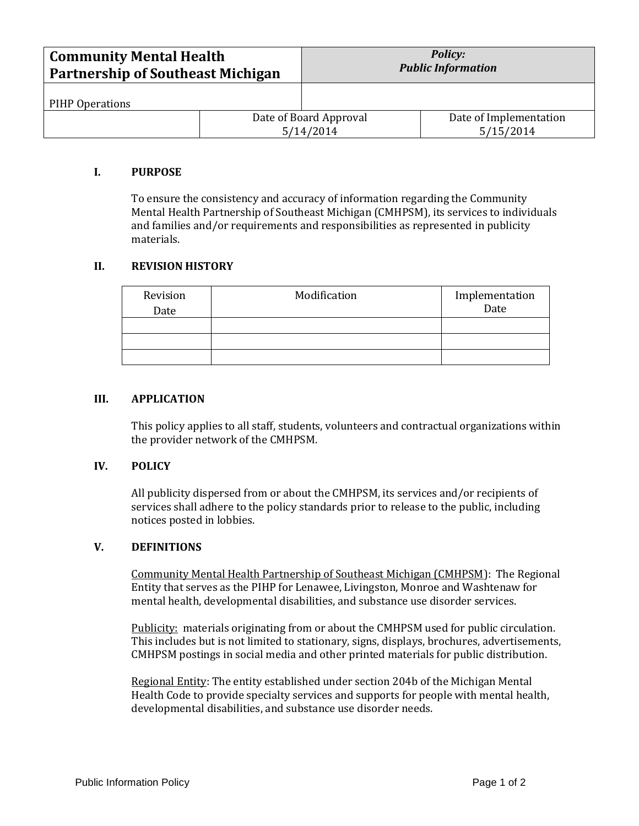| <b>Community Mental Health</b><br><b>Partnership of Southeast Michigan</b> |  | <b>Policy:</b><br><b>Public Information</b> |                                     |
|----------------------------------------------------------------------------|--|---------------------------------------------|-------------------------------------|
| PIHP Operations                                                            |  |                                             |                                     |
|                                                                            |  | Date of Board Approval<br>5/14/2014         | Date of Implementation<br>5/15/2014 |

## **I. PURPOSE**

To ensure the consistency and accuracy of information regarding the Community Mental Health Partnership of Southeast Michigan (CMHPSM), its services to individuals and families and/or requirements and responsibilities as represented in publicity materials.

## **II. REVISION HISTORY**

| Revision<br>Date | Modification | Implementation<br>Date |
|------------------|--------------|------------------------|
|                  |              |                        |
|                  |              |                        |
|                  |              |                        |

#### **III. APPLICATION**

This policy applies to all staff, students, volunteers and contractual organizations within the provider network of the CMHPSM.

#### **IV. POLICY**

All publicity dispersed from or about the CMHPSM, its services and/or recipients of services shall adhere to the policy standards prior to release to the public, including notices posted in lobbies.

## **V. DEFINITIONS**

Community Mental Health Partnership of Southeast Michigan (CMHPSM): The Regional Entity that serves as the PIHP for Lenawee, Livingston, Monroe and Washtenaw for mental health, developmental disabilities, and substance use disorder services.

Publicity: materials originating from or about the CMHPSM used for public circulation. This includes but is not limited to stationary, signs, displays, brochures, advertisements, CMHPSM postings in social media and other printed materials for public distribution.

Regional Entity: The entity established under section 204b of the Michigan Mental Health Code to provide specialty services and supports for people with mental health, developmental disabilities, and substance use disorder needs.